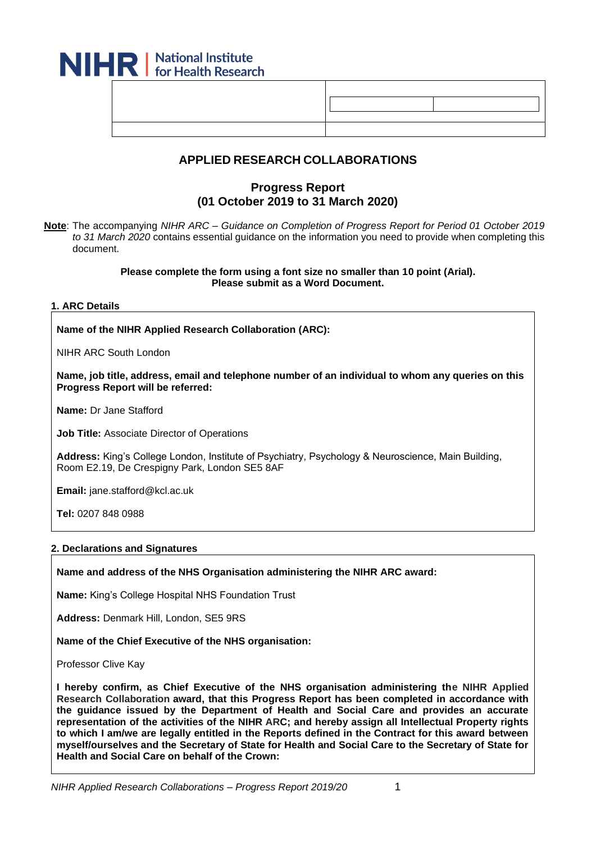| <b>IHR</b> Mational Institute |  |  |
|-------------------------------|--|--|
|                               |  |  |
|                               |  |  |

# **APPLIED RESEARCH COLLABORATIONS**

# **Progress Report (01 October 2019 to 31 March 2020)**

**Note**: The accompanying *NIHR ARC – Guidance on Completion of Progress Report for Period 01 October 2019 to 31 March 2020* contains essential guidance on the information you need to provide when completing this document.

> **Please complete the form using a font size no smaller than 10 point (Arial). Please submit as a Word Document.**

#### **1. ARC Details**

**Name of the NIHR Applied Research Collaboration (ARC):**

NIHR ARC South London

**Name, job title, address, email and telephone number of an individual to whom any queries on this Progress Report will be referred:**

**Name:** Dr Jane Stafford

**Job Title:** Associate Director of Operations

**Address:** King's College London, Institute of Psychiatry, Psychology & Neuroscience, Main Building, Room E2.19, De Crespigny Park, London SE5 8AF

**Email:** jane.stafford@kcl.ac.uk

**Tel:** 0207 848 0988

#### **2. Declarations and Signatures**

**Name and address of the NHS Organisation administering the NIHR ARC award:**

**Name:** King's College Hospital NHS Foundation Trust

**Address:** Denmark Hill, London, SE5 9RS

**Name of the Chief Executive of the NHS organisation:**

Professor Clive Kay

**I hereby confirm, as Chief Executive of the NHS organisation administering the NIHR Applied Research Collaboration award, that this Progress Report has been completed in accordance with the guidance issued by the Department of Health and Social Care and provides an accurate representation of the activities of the NIHR ARC; and hereby assign all Intellectual Property rights to which I am/we are legally entitled in the Reports defined in the Contract for this award between myself/ourselves and the Secretary of State for Health and Social Care to the Secretary of State for Health and Social Care on behalf of the Crown:**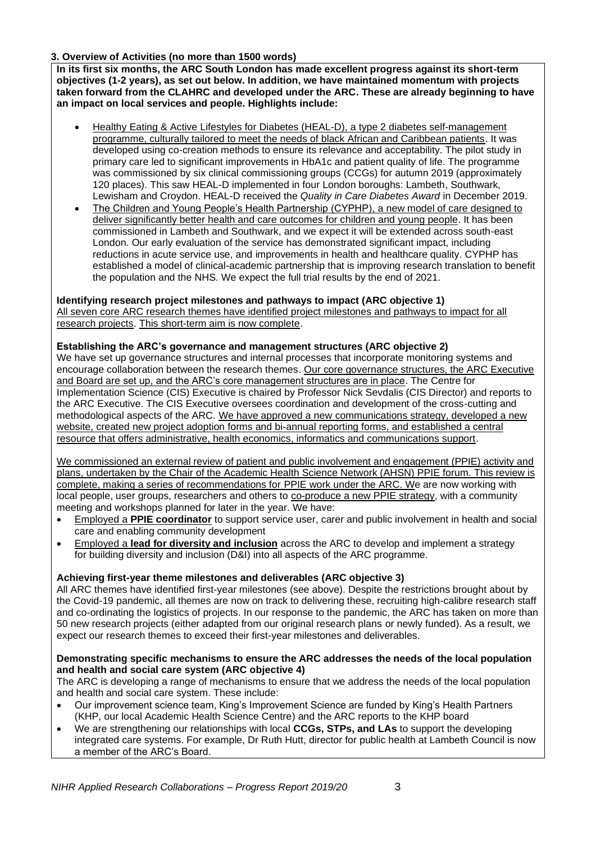### **3. Overview of Activities (no more than 1500 words)**

**In its first six months, the ARC South London has made excellent progress against its short-term objectives (1-2 years), as set out below. In addition, we have maintained momentum with projects taken forward from the CLAHRC and developed under the ARC. These are already beginning to have an impact on local services and people. Highlights include:** 

- Healthy Eating & Active Lifestyles for Diabetes (HEAL-D), a type 2 diabetes self-management programme, culturally tailored to meet the needs of black African and Caribbean patients. It was developed using co-creation methods to ensure its relevance and acceptability. The pilot study in primary care led to significant improvements in HbA1c and patient quality of life. The programme was commissioned by six clinical commissioning groups (CCGs) for autumn 2019 (approximately 120 places). This saw HEAL-D implemented in four London boroughs: Lambeth, Southwark, Lewisham and Croydon. HEAL-D received the *Quality in Care Diabetes Award* in December 2019.
- The Children and Young People's Health Partnership (CYPHP), a new model of care designed to deliver significantly better health and care outcomes for children and young people. It has been commissioned in Lambeth and Southwark, and we expect it will be extended across south-east London. Our early evaluation of the service has demonstrated significant impact, including reductions in acute service use, and improvements in health and healthcare quality. CYPHP has established a model of clinical-academic partnership that is improving research translation to benefit the population and the NHS. We expect the full trial results by the end of 2021.

### **Identifying research project milestones and pathways to impact (ARC objective 1)**

All seven core ARC research themes have identified project milestones and pathways to impact for all research projects. This short-term aim is now complete.

#### **Establishing the ARC's governance and management structures (ARC objective 2)**

We have set up governance structures and internal processes that incorporate monitoring systems and encourage collaboration between the research themes. Our core governance structures, the ARC Executive and Board are set up, and the ARC's core management structures are in place. The Centre for Implementation Science (CIS) Executive is chaired by Professor Nick Sevdalis (CIS Director) and reports to the ARC Executive. The CIS Executive oversees coordination and development of the cross-cutting and methodological aspects of the ARC. We have approved a new communications strategy, developed a new website, created new project adoption forms and bi-annual reporting forms, and established a central resource that offers administrative, health economics, informatics and communications support.

We commissioned an external review of patient and public involvement and engagement (PPIE) activity and plans, undertaken by the Chair of the Academic Health Science Network (AHSN) PPIE forum. This review is complete, making a series of recommendations for PPIE work under the ARC. We are now working with local people, user groups, researchers and others to co-produce a new PPIE strategy, with a community meeting and workshops planned for later in the year. We have:

- Employed a **PPIE coordinator** to support service user, carer and public involvement in health and social care and enabling community development
- Employed a **lead for diversity and inclusion** across the ARC to develop and implement a strategy for building diversity and inclusion (D&I) into all aspects of the ARC programme.

### **Achieving first-year theme milestones and deliverables (ARC objective 3)**

All ARC themes have identified first-year milestones (see above). Despite the restrictions brought about by the Covid-19 pandemic, all themes are now on track to delivering these, recruiting high-calibre research staff and co-ordinating the logistics of projects. In our response to the pandemic, the ARC has taken on more than 50 new research projects (either adapted from our original research plans or newly funded). As a result, we expect our research themes to exceed their first-year milestones and deliverables.

#### **Demonstrating specific mechanisms to ensure the ARC addresses the needs of the local population and health and social care system (ARC objective 4)**

The ARC is developing a range of mechanisms to ensure that we address the needs of the local population and health and social care system. These include:

- Our improvement science team, King's Improvement Science are funded by King's Health Partners (KHP, our local Academic Health Science Centre) and the ARC reports to the KHP board
- We are strengthening our relationships with local **CCGs, STPs, and LAs** to support the developing integrated care systems. For example, Dr Ruth Hutt, director for public health at Lambeth Council is now a member of the ARC's Board.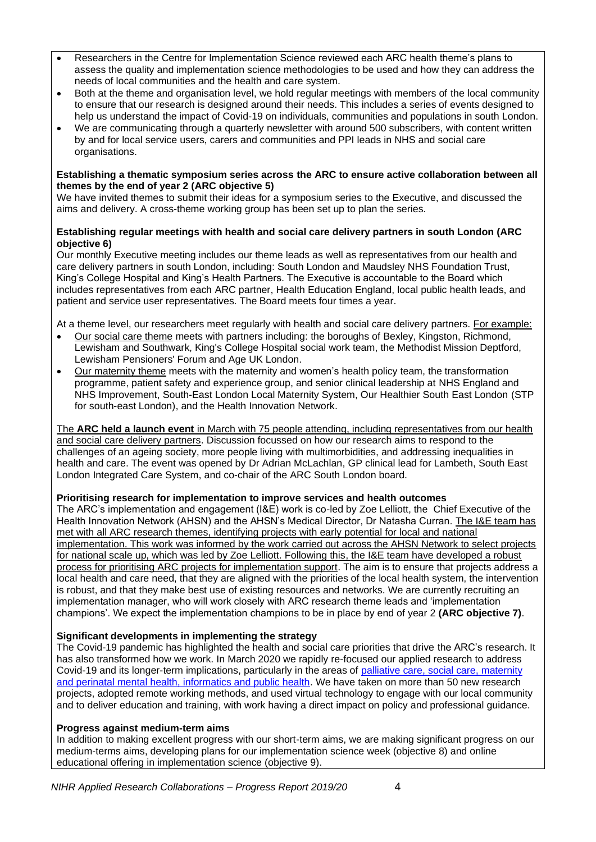- Researchers in the Centre for Implementation Science reviewed each ARC health theme's plans to assess the quality and implementation science methodologies to be used and how they can address the needs of local communities and the health and care system.
- Both at the theme and organisation level, we hold regular meetings with members of the local community to ensure that our research is designed around their needs. This includes a series of events designed to help us understand the impact of Covid-19 on individuals, communities and populations in south London.
- We are communicating through a quarterly newsletter with around 500 subscribers, with content written by and for local service users, carers and communities and PPI leads in NHS and social care organisations.

#### **Establishing a thematic symposium series across the ARC to ensure active collaboration between all themes by the end of year 2 (ARC objective 5)**

We have invited themes to submit their ideas for a symposium series to the Executive, and discussed the aims and delivery. A cross-theme working group has been set up to plan the series.

#### **Establishing regular meetings with health and social care delivery partners in south London (ARC objective 6)**

Our monthly Executive meeting includes our theme leads as well as representatives from our health and care delivery partners in south London, including: South London and Maudsley NHS Foundation Trust, King's College Hospital and King's Health Partners. The Executive is accountable to the Board which includes representatives from each ARC partner, Health Education England, local public health leads, and patient and service user representatives. The Board meets four times a year.

At a theme level, our researchers meet regularly with health and social care delivery partners. For example:

- Our social care theme meets with partners including: the boroughs of Bexley, Kingston, Richmond, Lewisham and Southwark, King's College Hospital social work team, the Methodist Mission Deptford, Lewisham Pensioners' Forum and Age UK London.
- Our maternity theme meets with the maternity and women's health policy team, the transformation programme, patient safety and experience group, and senior clinical leadership at NHS England and NHS Improvement, South-East London Local Maternity System, Our Healthier South East London (STP for south-east London), and the Health Innovation Network.

#### The **ARC held a launch event** in March with 75 people attending, including representatives from our health and social care delivery partners. Discussion focussed on how our research aims to respond to the challenges of an ageing society, more people living with multimorbidities, and addressing inequalities in health and care. The event was opened by Dr Adrian McLachlan, GP clinical lead for Lambeth, South East London Integrated Care System, and co-chair of the ARC South London board.

# **Prioritising research for implementation to improve services and health outcomes**

The ARC's implementation and engagement (I&E) work is co-led by Zoe Lelliott, the Chief Executive of the Health Innovation Network (AHSN) and the AHSN's Medical Director, Dr Natasha Curran. The I&E team has met with all ARC research themes, identifying projects with early potential for local and national implementation. This work was informed by the work carried out across the AHSN Network to select projects for national scale up, which was led by Zoe Lelliott. Following this, the I&E team have developed a robust process for prioritising ARC projects for implementation support. The aim is to ensure that projects address a local health and care need, that they are aligned with the priorities of the local health system, the intervention is robust, and that they make best use of existing resources and networks. We are currently recruiting an implementation manager, who will work closely with ARC research theme leads and 'implementation champions'. We expect the implementation champions to be in place by end of year 2 **(ARC objective 7)**.

# **Significant developments in implementing the strategy**

The Covid-19 pandemic has highlighted the health and social care priorities that drive the ARC's research. It has also transformed how we work. In March 2020 we rapidly re-focused our applied research to address Covid-19 and its longer-term implications, particularly in the areas of [palliative care, social care, maternity](https://arc-sl.nihr.ac.uk/research-and-implementation/our-research-areas/covid-19)  [and perinatal mental health, informatics and public health.](https://arc-sl.nihr.ac.uk/research-and-implementation/our-research-areas/covid-19) We have taken on more than 50 new research projects, adopted remote working methods, and used virtual technology to engage with our local community and to deliver education and training, with work having a direct impact on policy and professional guidance.

### **Progress against medium-term aims**

In addition to making excellent progress with our short-term aims, we are making significant progress on our medium-terms aims, developing plans for our implementation science week (objective 8) and online educational offering in implementation science (objective 9).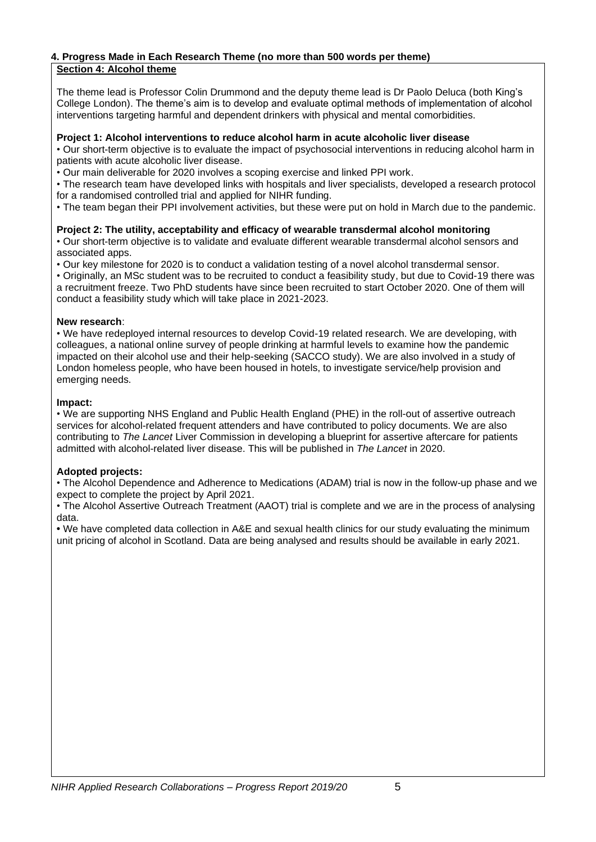# **4. Progress Made in Each Research Theme (no more than 500 words per theme)**

# **Section 4: Alcohol theme**

The theme lead is Professor Colin Drummond and the deputy theme lead is Dr Paolo Deluca (both King's College London). The theme's aim is to develop and evaluate optimal methods of implementation of alcohol interventions targeting harmful and dependent drinkers with physical and mental comorbidities.

### **Project 1: Alcohol interventions to reduce alcohol harm in acute alcoholic liver disease**

• Our short-term objective is to evaluate the impact of psychosocial interventions in reducing alcohol harm in patients with acute alcoholic liver disease.

• Our main deliverable for 2020 involves a scoping exercise and linked PPI work.

• The research team have developed links with hospitals and liver specialists, developed a research protocol for a randomised controlled trial and applied for NIHR funding.

• The team began their PPI involvement activities, but these were put on hold in March due to the pandemic.

# **Project 2: The utility, acceptability and efficacy of wearable transdermal alcohol monitoring**

• Our short-term objective is to validate and evaluate different wearable transdermal alcohol sensors and associated apps.

• Our key milestone for 2020 is to conduct a validation testing of a novel alcohol transdermal sensor.

• Originally, an MSc student was to be recruited to conduct a feasibility study, but due to Covid-19 there was a recruitment freeze. Two PhD students have since been recruited to start October 2020. One of them will conduct a feasibility study which will take place in 2021-2023.

### **New research**:

• We have redeployed internal resources to develop Covid-19 related research. We are developing, with colleagues, a national online survey of people drinking at harmful levels to examine how the pandemic impacted on their alcohol use and their help-seeking (SACCO study). We are also involved in a study of London homeless people, who have been housed in hotels, to investigate service/help provision and emerging needs.

### **Impact:**

• We are supporting NHS England and Public Health England (PHE) in the roll-out of assertive outreach services for alcohol-related frequent attenders and have contributed to policy documents. We are also contributing to *The Lancet* Liver Commission in developing a blueprint for assertive aftercare for patients admitted with alcohol-related liver disease. This will be published in *The Lancet* in 2020.

# **Adopted projects:**

• The Alcohol Dependence and Adherence to Medications (ADAM) trial is now in the follow-up phase and we expect to complete the project by April 2021.

• The Alcohol Assertive Outreach Treatment (AAOT) trial is complete and we are in the process of analysing data.

**•** We have completed data collection in A&E and sexual health clinics for our study evaluating the minimum unit pricing of alcohol in Scotland. Data are being analysed and results should be available in early 2021.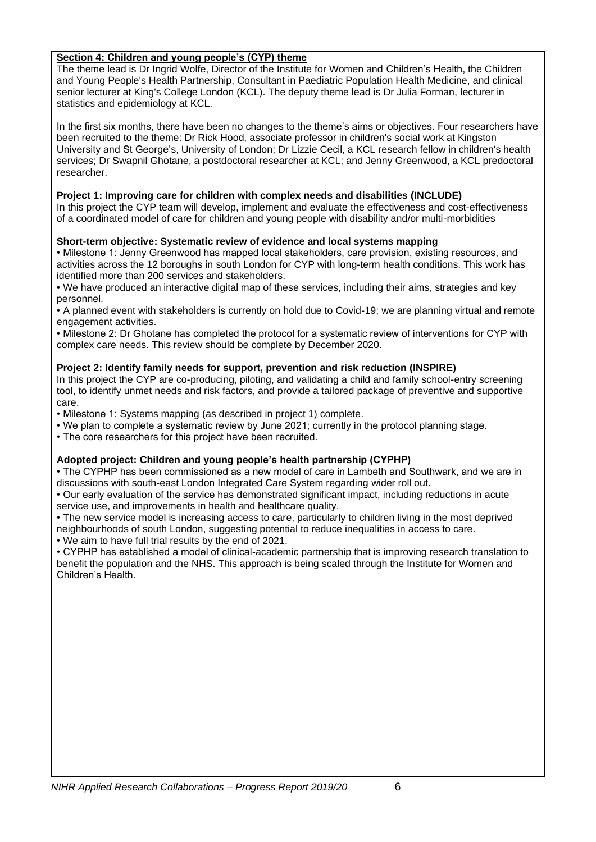### **Section 4: Children and young people's (CYP) theme**

The theme lead is Dr Ingrid Wolfe, Director of the Institute for Women and Children's Health, the Children and Young People's Health Partnership, Consultant in Paediatric Population Health Medicine, and clinical senior lecturer at King's College London (KCL). The deputy theme lead is Dr Julia Forman, lecturer in statistics and epidemiology at KCL.

In the first six months, there have been no changes to the theme's aims or objectives. Four researchers have been recruited to the theme: Dr Rick Hood, associate professor in children's social work at Kingston University and St George's, University of London; Dr Lizzie Cecil, a KCL research fellow in children's health services; Dr Swapnil Ghotane, a postdoctoral researcher at KCL; and Jenny Greenwood, a KCL predoctoral researcher.

### **Project 1: Improving care for children with complex needs and disabilities (INCLUDE)**

In this project the CYP team will develop, implement and evaluate the effectiveness and cost-effectiveness of a coordinated model of care for children and young people with disability and/or multi-morbidities

### **Short-term objective: Systematic review of evidence and local systems mapping**

• Milestone 1: Jenny Greenwood has mapped local stakeholders, care provision, existing resources, and activities across the 12 boroughs in south London for CYP with long-term health conditions. This work has identified more than 200 services and stakeholders.

• We have produced an interactive digital map of these services, including their aims, strategies and key personnel.

• A planned event with stakeholders is currently on hold due to Covid-19; we are planning virtual and remote engagement activities.

• Milestone 2: Dr Ghotane has completed the protocol for a systematic review of interventions for CYP with complex care needs. This review should be complete by December 2020.

### **Project 2: Identify family needs for support, prevention and risk reduction (INSPIRE)**

In this project the CYP are co-producing, piloting, and validating a child and family school-entry screening tool, to identify unmet needs and risk factors, and provide a tailored package of preventive and supportive care.

• Milestone 1: Systems mapping (as described in project 1) complete.

• We plan to complete a systematic review by June 2021; currently in the protocol planning stage.

• The core researchers for this project have been recruited.

### **Adopted project: Children and young people's health partnership (CYPHP)**

• The CYPHP has been commissioned as a new model of care in Lambeth and Southwark, and we are in discussions with south-east London Integrated Care System regarding wider roll out.

• Our early evaluation of the service has demonstrated significant impact, including reductions in acute service use, and improvements in health and healthcare quality.

• The new service model is increasing access to care, particularly to children living in the most deprived neighbourhoods of south London, suggesting potential to reduce inequalities in access to care. • We aim to have full trial results by the end of 2021.

• CYPHP has established a model of clinical-academic partnership that is improving research translation to benefit the population and the NHS. This approach is being scaled through the Institute for Women and Children's Health.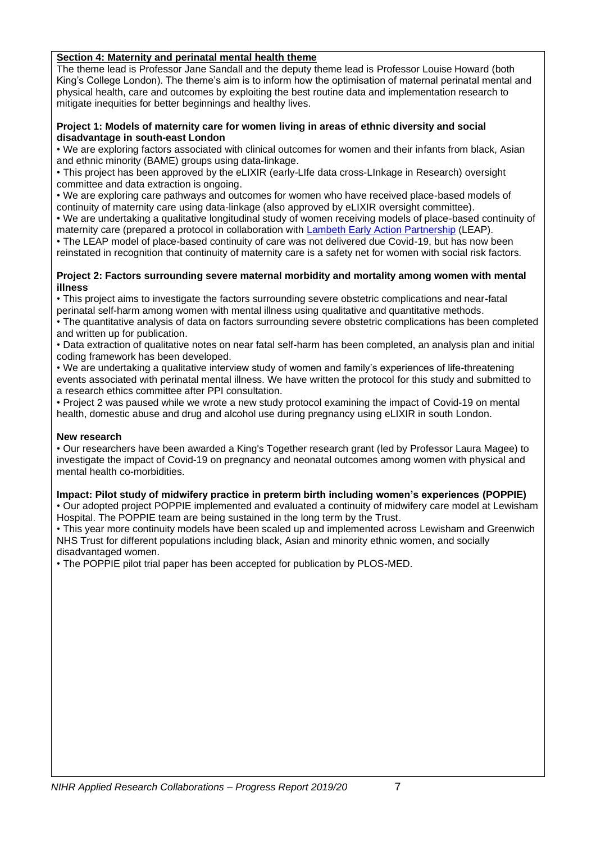### **Section 4: Maternity and perinatal mental health theme**

The theme lead is Professor Jane Sandall and the deputy theme lead is Professor Louise Howard (both King's College London). The theme's aim is to inform how the optimisation of maternal perinatal mental and physical health, care and outcomes by exploiting the best routine data and implementation research to mitigate inequities for better beginnings and healthy lives.

#### **Project 1: Models of maternity care for women living in areas of ethnic diversity and social disadvantage in south-east London**

• We are exploring factors associated with clinical outcomes for women and their infants from black, Asian and ethnic minority (BAME) groups using data-linkage.

• This project has been approved by the eLIXIR (early-LIfe data cross-LInkage in Research) oversight committee and data extraction is ongoing.

• We are exploring care pathways and outcomes for women who have received place-based models of continuity of maternity care using data-linkage (also approved by eLIXIR oversight committee).

• We are undertaking a qualitative longitudinal study of women receiving models of place-based continuity of maternity care (prepared a protocol in collaboration with [Lambeth Early Action Partnership](https://www.leaplambeth.org.uk/about-leap) (LEAP).

• The LEAP model of place-based continuity of care was not delivered due Covid-19, but has now been reinstated in recognition that continuity of maternity care is a safety net for women with social risk factors.

#### **Project 2: Factors surrounding severe maternal morbidity and mortality among women with mental illness**

• This project aims to investigate the factors surrounding severe obstetric complications and near-fatal perinatal self-harm among women with mental illness using qualitative and quantitative methods.

• The quantitative analysis of data on factors surrounding severe obstetric complications has been completed and written up for publication.

• Data extraction of qualitative notes on near fatal self-harm has been completed, an analysis plan and initial coding framework has been developed.

• We are undertaking a qualitative interview study of women and family's experiences of life-threatening events associated with perinatal mental illness. We have written the protocol for this study and submitted to a research ethics committee after PPI consultation.

• Project 2 was paused while we wrote a new study protocol examining the impact of Covid-19 on mental health, domestic abuse and drug and alcohol use during pregnancy using eLIXIR in south London.

# **New research**

• Our researchers have been awarded a King's Together research grant (led by Professor Laura Magee) to investigate the impact of Covid-19 on pregnancy and neonatal outcomes among women with physical and mental health co-morbidities.

# **Impact: Pilot study of midwifery practice in preterm birth including women's experiences (POPPIE)**

• Our adopted project POPPIE implemented and evaluated a continuity of midwifery care model at Lewisham Hospital. The POPPIE team are being sustained in the long term by the Trust.

• This year more continuity models have been scaled up and implemented across Lewisham and Greenwich NHS Trust for different populations including black, Asian and minority ethnic women, and socially disadvantaged women.

• The POPPIE pilot trial paper has been accepted for publication by PLOS-MED.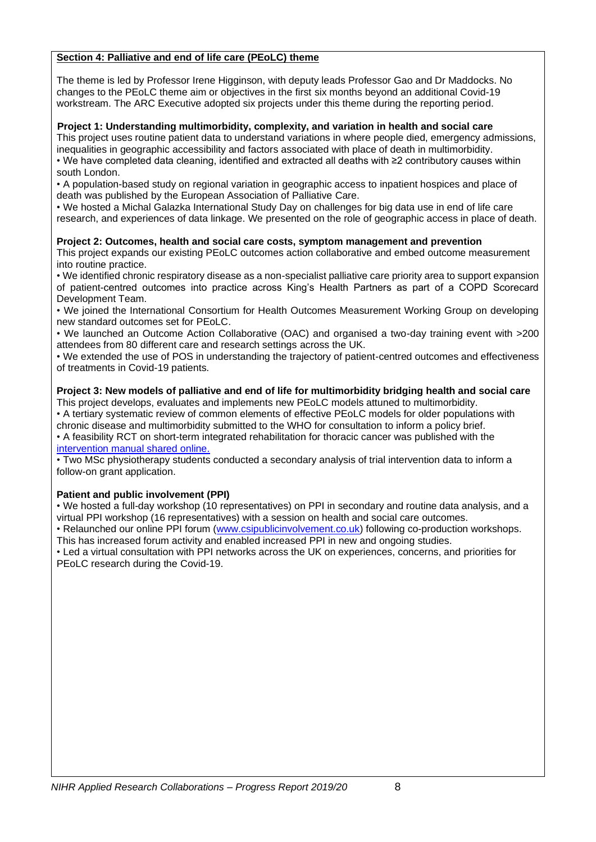### **Section 4: Palliative and end of life care (PEoLC) theme**

The theme is led by Professor Irene Higginson, with deputy leads Professor Gao and Dr Maddocks. No changes to the PEoLC theme aim or objectives in the first six months beyond an additional Covid-19 workstream. The ARC Executive adopted six projects under this theme during the reporting period.

### **Project 1: Understanding multimorbidity, complexity, and variation in health and social care**

This project uses routine patient data to understand variations in where people died, emergency admissions, inequalities in geographic accessibility and factors associated with place of death in multimorbidity. • We have completed data cleaning, identified and extracted all deaths with ≥2 contributory causes within

south London.

• A population-based study on regional variation in geographic access to inpatient hospices and place of death was published by the European Association of Palliative Care.

• We hosted a Michal Galazka International Study Day on challenges for big data use in end of life care research, and experiences of data linkage. We presented on the role of geographic access in place of death.

### **Project 2: Outcomes, health and social care costs, symptom management and prevention**

This project expands our existing PEoLC outcomes action collaborative and embed outcome measurement into routine practice.

• We identified chronic respiratory disease as a non-specialist palliative care priority area to support expansion of patient-centred outcomes into practice across King's Health Partners as part of a COPD Scorecard Development Team.

• We joined the International Consortium for Health Outcomes Measurement Working Group on developing new standard outcomes set for PEoLC.

• We launched an Outcome Action Collaborative (OAC) and organised a two-day training event with >200 attendees from 80 different care and research settings across the UK.

• We extended the use of POS in understanding the trajectory of patient-centred outcomes and effectiveness of treatments in Covid-19 patients.

#### **Project 3: New models of palliative and end of life for multimorbidity bridging health and social care** This project develops, evaluates and implements new PEoLC models attuned to multimorbidity.

• A tertiary systematic review of common elements of effective PEoLC models for older populations with chronic disease and multimorbidity submitted to the WHO for consultation to inform a policy brief. • A feasibility RCT on short-term integrated rehabilitation for thoracic cancer was published with the [intervention manual shared online.](https://journals.sagepub.com/doi/pdf/10.1177/0269215519888794)

• Two MSc physiotherapy students conducted a secondary analysis of trial intervention data to inform a follow-on grant application.

# **Patient and public involvement (PPI)**

• We hosted a full-day workshop (10 representatives) on PPI in secondary and routine data analysis, and a virtual PPI workshop (16 representatives) with a session on health and social care outcomes.

• Relaunched our online PPI forum [\(www.csipublicinvolvement.co.uk\)](http://www.csipublicinvolvement.co.uk/) following co-production workshops. This has increased forum activity and enabled increased PPI in new and ongoing studies.

• Led a virtual consultation with PPI networks across the UK on experiences, concerns, and priorities for PEoLC research during the Covid-19.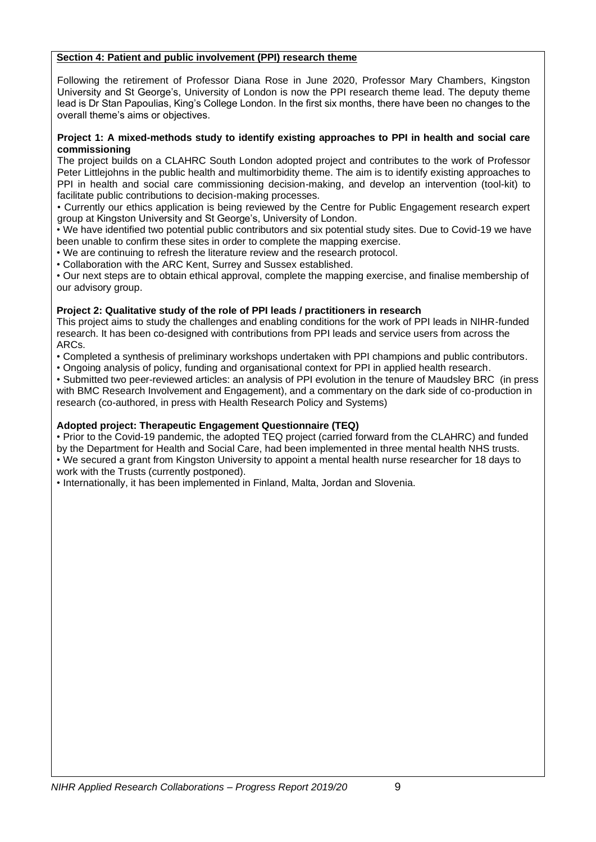### **Section 4: Patient and public involvement (PPI) research theme**

Following the retirement of Professor Diana Rose in June 2020, Professor Mary Chambers, Kingston University and St George's, University of London is now the PPI research theme lead. The deputy theme lead is Dr Stan Papoulias, King's College London. In the first six months, there have been no changes to the overall theme's aims or objectives.

### **Project 1: A mixed-methods study to identify existing approaches to PPI in health and social care commissioning**

The project builds on a CLAHRC South London adopted project and contributes to the work of Professor Peter Littlejohns in the public health and multimorbidity theme. The aim is to identify existing approaches to PPI in health and social care commissioning decision-making, and develop an intervention (tool-kit) to facilitate public contributions to decision-making processes.

• Currently our ethics application is being reviewed by the Centre for Public Engagement research expert group at Kingston University and St George's, University of London.

• We have identified two potential public contributors and six potential study sites. Due to Covid-19 we have been unable to confirm these sites in order to complete the mapping exercise.

• We are continuing to refresh the literature review and the research protocol.

• Collaboration with the ARC Kent, Surrey and Sussex established.

• Our next steps are to obtain ethical approval, complete the mapping exercise, and finalise membership of our advisory group.

### **Project 2: Qualitative study of the role of PPI leads / practitioners in research**

This project aims to study the challenges and enabling conditions for the work of PPI leads in NIHR-funded research. It has been co-designed with contributions from PPI leads and service users from across the ARCs.

• Completed a synthesis of preliminary workshops undertaken with PPI champions and public contributors.

• Ongoing analysis of policy, funding and organisational context for PPI in applied health research.

• Submitted two peer-reviewed articles: an analysis of PPI evolution in the tenure of Maudsley BRC (in press with BMC Research Involvement and Engagement), and a commentary on the dark side of co-production in research (co-authored, in press with Health Research Policy and Systems)

### **Adopted project: Therapeutic Engagement Questionnaire (TEQ)**

• Prior to the Covid-19 pandemic, the adopted TEQ project (carried forward from the CLAHRC) and funded by the Department for Health and Social Care, had been implemented in three mental health NHS trusts. • We secured a grant from Kingston University to appoint a mental health nurse researcher for 18 days to work with the Trusts (currently postponed).

• Internationally, it has been implemented in Finland, Malta, Jordan and Slovenia.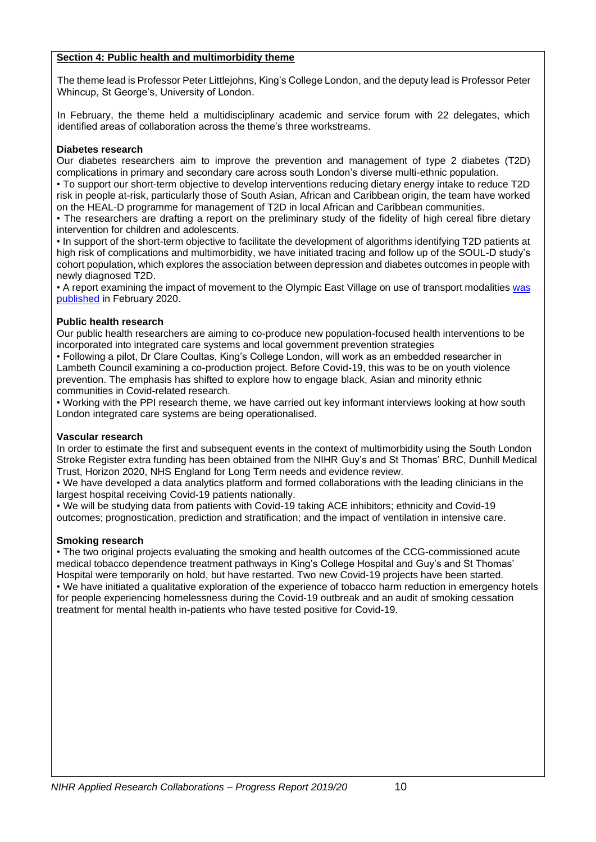### **Section 4: Public health and multimorbidity theme**

The theme lead is Professor Peter Littlejohns, King's College London, and the deputy lead is Professor Peter Whincup, St George's, University of London.

In February, the theme held a multidisciplinary academic and service forum with 22 delegates, which identified areas of collaboration across the theme's three workstreams.

### **Diabetes research**

Our diabetes researchers aim to improve the prevention and management of type 2 diabetes (T2D) complications in primary and secondary care across south London's diverse multi-ethnic population.

• To support our short-term objective to develop interventions reducing dietary energy intake to reduce T2D risk in people at-risk, particularly those of South Asian, African and Caribbean origin, the team have worked on the HEAL-D programme for management of T2D in local African and Caribbean communities.

• The researchers are drafting a report on the preliminary study of the fidelity of high cereal fibre dietary intervention for children and adolescents.

• In support of the short-term objective to facilitate the development of algorithms identifying T2D patients at high risk of complications and multimorbidity, we have initiated tracing and follow up of the SOUL-D study's cohort population, which explores the association between depression and diabetes outcomes in people with newly diagnosed T2D.

• A report examining the impact of movement to the Olympic East Village on use of transport modalities [was](https://ijbnpa.biomedcentral.com/articles/10.1186/s12966-020-0916-0)  [published](https://ijbnpa.biomedcentral.com/articles/10.1186/s12966-020-0916-0) in February 2020.

### **Public health research**

Our public health researchers are aiming to co-produce new population-focused health interventions to be incorporated into integrated care systems and local government prevention strategies

• Following a pilot, Dr Clare Coultas, King's College London, will work as an embedded researcher in Lambeth Council examining a co-production project. Before Covid-19, this was to be on youth violence prevention. The emphasis has shifted to explore how to engage black, Asian and minority ethnic communities in Covid-related research.

• Working with the PPI research theme, we have carried out key informant interviews looking at how south London integrated care systems are being operationalised.

### **Vascular research**

In order to estimate the first and subsequent events in the context of multimorbidity using the South London Stroke Register extra funding has been obtained from the NIHR Guy's and St Thomas' BRC, Dunhill Medical Trust, Horizon 2020, NHS England for Long Term needs and evidence review.

• We have developed a data analytics platform and formed collaborations with the leading clinicians in the largest hospital receiving Covid-19 patients nationally.

• We will be studying data from patients with Covid-19 taking ACE inhibitors; ethnicity and Covid-19 outcomes; prognostication, prediction and stratification; and the impact of ventilation in intensive care.

### **Smoking research**

• The two original projects evaluating the smoking and health outcomes of the CCG-commissioned acute medical tobacco dependence treatment pathways in King's College Hospital and Guy's and St Thomas' Hospital were temporarily on hold, but have restarted. Two new Covid-19 projects have been started. • We have initiated a qualitative exploration of the experience of tobacco harm reduction in emergency hotels for people experiencing homelessness during the Covid-19 outbreak and an audit of smoking cessation treatment for mental health in-patients who have tested positive for Covid-19.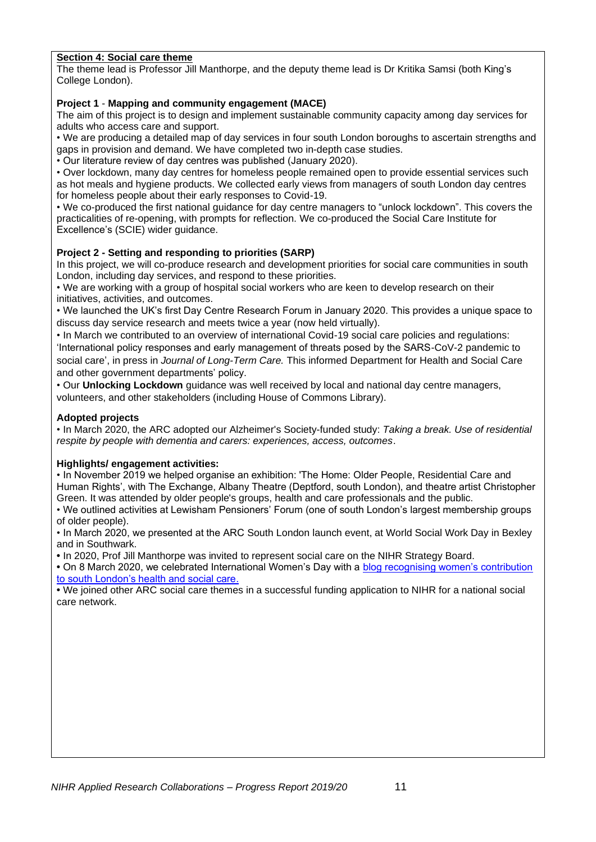### **Section 4: Social care theme**

The theme lead is Professor Jill Manthorpe, and the deputy theme lead is Dr Kritika Samsi (both King's College London).

#### **Project 1** - **Mapping and community engagement (MACE)**

The aim of this project is to design and implement sustainable community capacity among day services for adults who access care and support.

• We are producing a detailed map of day services in four south London boroughs to ascertain strengths and gaps in provision and demand. We have completed two in-depth case studies.

• Our literature review of day centres was published (January 2020).

• Over lockdown, many day centres for homeless people remained open to provide essential services such as hot meals and hygiene products. We collected early views from managers of south London day centres for homeless people about their early responses to Covid-19.

• We co-produced the first national guidance for day centre managers to "unlock lockdown". This covers the practicalities of re-opening, with prompts for reflection. We co-produced the Social Care Institute for Excellence's (SCIE) wider guidance.

### **Project 2 - Setting and responding to priorities (SARP)**

In this project, we will co-produce research and development priorities for social care communities in south London, including day services, and respond to these priorities.

• We are working with a group of hospital social workers who are keen to develop research on their initiatives, activities, and outcomes.

• We launched the UK's first Day Centre Research Forum in January 2020. This provides a unique space to discuss day service research and meets twice a year (now held virtually).

• In March we contributed to an overview of international Covid-19 social care policies and regulations: 'International policy responses and early management of threats posed by the SARS-CoV-2 pandemic to social care', in press in *Journal of Long-Term Care.* This informed Department for Health and Social Care and other government departments' policy.

• Our **Unlocking Lockdown** guidance was well received by local and national day centre managers, volunteers, and other stakeholders (including House of Commons Library).

### **Adopted projects**

• In March 2020, the ARC adopted our Alzheimer's Society-funded study: *Taking a break. Use of residential respite by people with dementia and carers: experiences, access, outcomes*.

### **Highlights/ engagement activities:**

• In November 2019 we helped organise an exhibition: 'The Home: Older People, Residential Care and Human Rights', with The Exchange, Albany Theatre (Deptford, south London), and theatre artist Christopher Green. It was attended by older people's groups, health and care professionals and the public.

• We outlined activities at Lewisham Pensioners' Forum (one of south London's largest membership groups of older people).

• In March 2020, we presented at the ARC South London launch event, at World Social Work Day in Bexley and in Southwark.

**•** In 2020, Prof Jill Manthorpe was invited to represent social care on the NIHR Strategy Board.

**•** On 8 March 2020, we celebrated International Women's Day with a blog recognising women's contribution to south London's health and social care.

**•** We joined other ARC social care themes in a successful funding application to NIHR for a national social care network.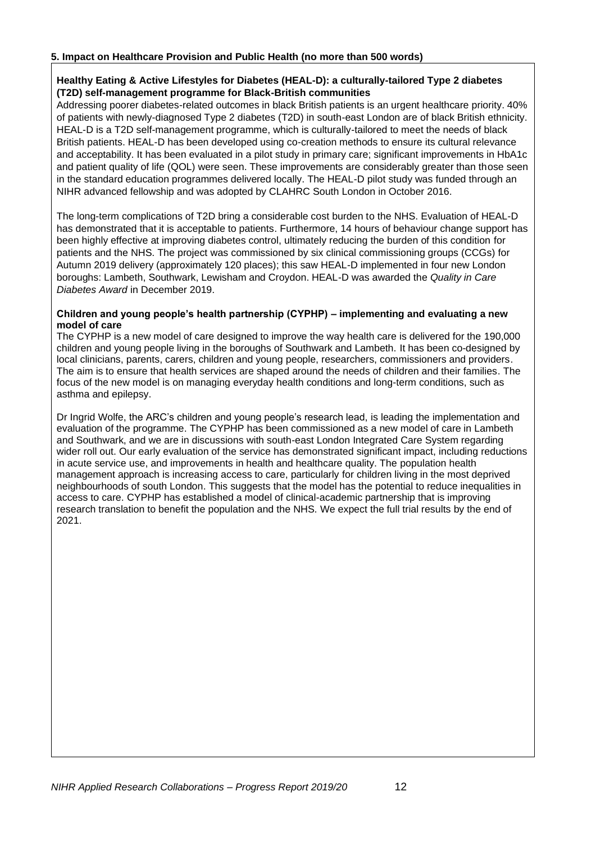### **5. Impact on Healthcare Provision and Public Health (no more than 500 words)**

### **Healthy Eating & Active Lifestyles for Diabetes (HEAL-D): a culturally-tailored Type 2 diabetes (T2D) self-management programme for Black-British communities**

Addressing poorer diabetes-related outcomes in black British patients is an urgent healthcare priority. 40% of patients with newly-diagnosed Type 2 diabetes (T2D) in south-east London are of black British ethnicity. HEAL-D is a T2D self-management programme, which is culturally-tailored to meet the needs of black British patients. HEAL-D has been developed using co-creation methods to ensure its cultural relevance and acceptability. It has been evaluated in a pilot study in primary care; significant improvements in HbA1c and patient quality of life (QOL) were seen. These improvements are considerably greater than those seen in the standard education programmes delivered locally. The HEAL-D pilot study was funded through an NIHR advanced fellowship and was adopted by CLAHRC South London in October 2016.

The long-term complications of T2D bring a considerable cost burden to the NHS. Evaluation of HEAL-D has demonstrated that it is acceptable to patients. Furthermore, 14 hours of behaviour change support has been highly effective at improving diabetes control, ultimately reducing the burden of this condition for patients and the NHS. The project was commissioned by six clinical commissioning groups (CCGs) for Autumn 2019 delivery (approximately 120 places); this saw HEAL-D implemented in four new London boroughs: Lambeth, Southwark, Lewisham and Croydon. HEAL-D was awarded the *Quality in Care Diabetes Award* in December 2019.

#### **Children and young people's health partnership (CYPHP) – implementing and evaluating a new model of care**

The CYPHP is a new model of care designed to improve the way health care is delivered for the 190,000 children and young people living in the boroughs of Southwark and Lambeth. It has been co-designed by local clinicians, parents, carers, children and young people, researchers, commissioners and providers. The aim is to ensure that health services are shaped around the needs of children and their families. The focus of the new model is on managing everyday health conditions and long-term conditions, such as asthma and epilepsy.

Dr Ingrid Wolfe, the ARC's children and young people's research lead, is leading the implementation and evaluation of the programme. The CYPHP has been commissioned as a new model of care in Lambeth and Southwark, and we are in discussions with south-east London Integrated Care System regarding wider roll out. Our early evaluation of the service has demonstrated significant impact, including reductions in acute service use, and improvements in health and healthcare quality. The population health management approach is increasing access to care, particularly for children living in the most deprived neighbourhoods of south London. This suggests that the model has the potential to reduce inequalities in access to care. CYPHP has established a model of clinical-academic partnership that is improving research translation to benefit the population and the NHS. We expect the full trial results by the end of 2021.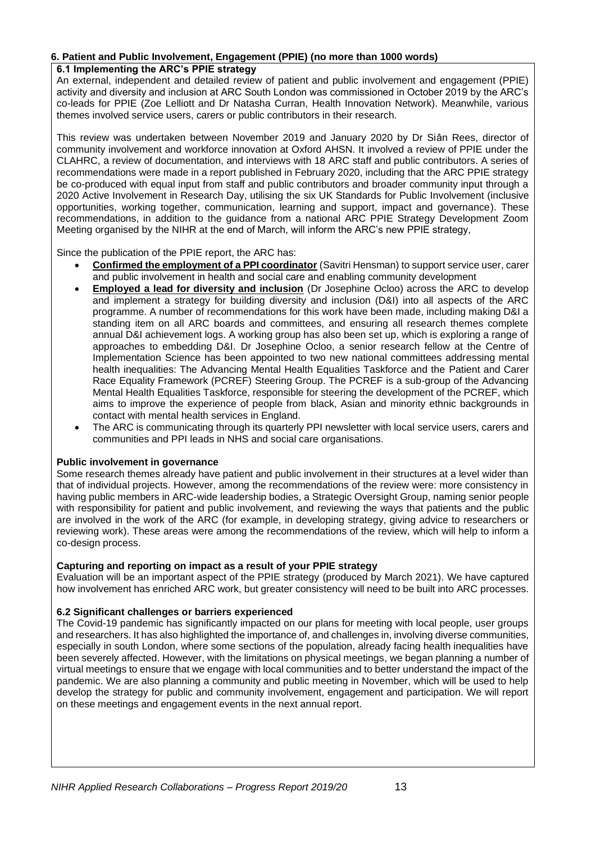### **6. Patient and Public Involvement, Engagement (PPIE) (no more than 1000 words)**

#### **6.1 Implementing the ARC's PPIE strategy**

An external, independent and detailed review of patient and public involvement and engagement (PPIE) activity and diversity and inclusion at ARC South London was commissioned in October 2019 by the ARC's co-leads for PPIE (Zoe Lelliott and Dr Natasha Curran, Health Innovation Network). Meanwhile, various themes involved service users, carers or public contributors in their research.

This review was undertaken between November 2019 and January 2020 by Dr Siân Rees, director of community involvement and workforce innovation at Oxford AHSN. It involved a review of PPIE under the CLAHRC, a review of documentation, and interviews with 18 ARC staff and public contributors. A series of recommendations were made in a report published in February 2020, including that the ARC PPIE strategy be co-produced with equal input from staff and public contributors and broader community input through a 2020 Active Involvement in Research Day, utilising the six UK Standards for Public Involvement (inclusive opportunities, working together, communication, learning and support, impact and governance). These recommendations, in addition to the guidance from a national ARC PPIE Strategy Development Zoom Meeting organised by the NIHR at the end of March, will inform the ARC's new PPIE strategy,

Since the publication of the PPIE report, the ARC has:

- **Confirmed the employment of a PPI coordinator** (Savitri Hensman) to support service user, carer and public involvement in health and social care and enabling community development
- **Employed a lead for diversity and inclusion** (Dr Josephine Ocloo) across the ARC to develop and implement a strategy for building diversity and inclusion (D&I) into all aspects of the ARC programme. A number of recommendations for this work have been made, including making D&I a standing item on all ARC boards and committees, and ensuring all research themes complete annual D&I achievement logs. A working group has also been set up, which is exploring a range of approaches to embedding D&I. Dr Josephine Ocloo, a senior research fellow at the Centre of Implementation Science has been appointed to two new national committees addressing mental health inequalities: The Advancing Mental Health Equalities Taskforce and the Patient and Carer Race Equality Framework (PCREF) Steering Group. The PCREF is a sub-group of the Advancing Mental Health Equalities Taskforce, responsible for steering the development of the PCREF, which aims to improve the experience of people from black, Asian and minority ethnic backgrounds in contact with mental health services in England.
- The ARC is communicating through its quarterly PPI newsletter with local service users, carers and communities and PPI leads in NHS and social care organisations.

### **Public involvement in governance**

Some research themes already have patient and public involvement in their structures at a level wider than that of individual projects. However, among the recommendations of the review were: more consistency in having public members in ARC-wide leadership bodies, a Strategic Oversight Group, naming senior people with responsibility for patient and public involvement, and reviewing the ways that patients and the public are involved in the work of the ARC (for example, in developing strategy, giving advice to researchers or reviewing work). These areas were among the recommendations of the review, which will help to inform a co-design process.

### **Capturing and reporting on impact as a result of your PPIE strategy**

Evaluation will be an important aspect of the PPIE strategy (produced by March 2021). We have captured how involvement has enriched ARC work, but greater consistency will need to be built into ARC processes.

### **6.2 Significant challenges or barriers experienced**

The Covid-19 pandemic has significantly impacted on our plans for meeting with local people, user groups and researchers. It has also highlighted the importance of, and challenges in, involving diverse communities, especially in south London, where some sections of the population, already facing health inequalities have been severely affected. However, with the limitations on physical meetings, we began planning a number of virtual meetings to ensure that we engage with local communities and to better understand the impact of the pandemic. We are also planning a community and public meeting in November, which will be used to help develop the strategy for public and community involvement, engagement and participation. We will report on these meetings and engagement events in the next annual report.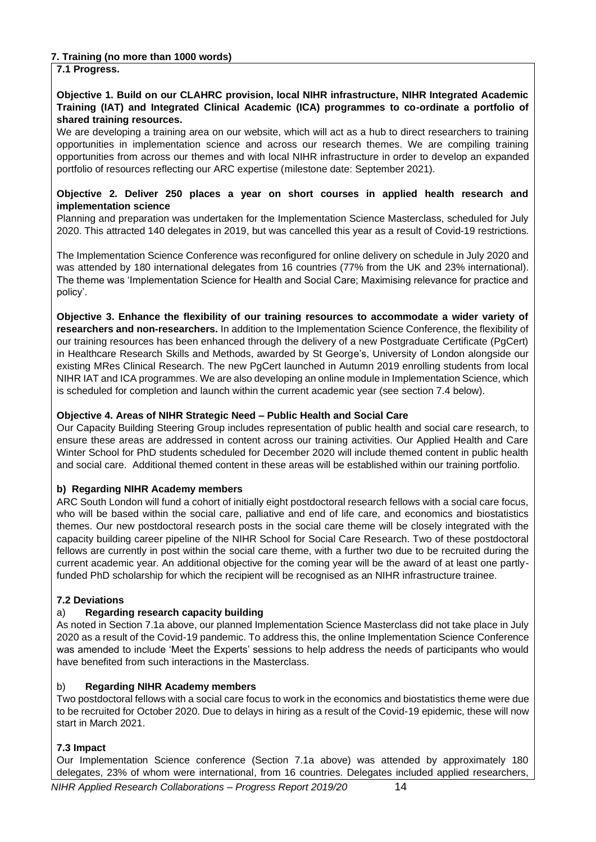# **7. Training (no more than 1000 words)**

# **7.1 Progress.**

### **Objective 1. Build on our CLAHRC provision, local NIHR infrastructure, NIHR Integrated Academic Training (IAT) and Integrated Clinical Academic (ICA) programmes to co-ordinate a portfolio of shared training resources.**

We are developing a training area on our website, which will act as a hub to direct researchers to training opportunities in implementation science and across our research themes. We are compiling training opportunities from across our themes and with local NIHR infrastructure in order to develop an expanded portfolio of resources reflecting our ARC expertise (milestone date: September 2021).

### **Objective 2. Deliver 250 places a year on short courses in applied health research and implementation science**

Planning and preparation was undertaken for the Implementation Science Masterclass, scheduled for July 2020. This attracted 140 delegates in 2019, but was cancelled this year as a result of Covid-19 restrictions.

The Implementation Science Conference was reconfigured for online delivery on schedule in July 2020 and was attended by 180 international delegates from 16 countries (77% from the UK and 23% international). The theme was 'Implementation Science for Health and Social Care; Maximising relevance for practice and policy'.

**Objective 3. Enhance the flexibility of our training resources to accommodate a wider variety of researchers and non-researchers.** In addition to the Implementation Science Conference, the flexibility of our training resources has been enhanced through the delivery of a new Postgraduate Certificate (PgCert) in Healthcare Research Skills and Methods, awarded by St George's, University of London alongside our existing MRes Clinical Research. The new PgCert launched in Autumn 2019 enrolling students from local NIHR IAT and ICA programmes. We are also developing an online module in Implementation Science, which is scheduled for completion and launch within the current academic year (see section 7.4 below).

# **Objective 4. Areas of NIHR Strategic Need – Public Health and Social Care**

Our Capacity Building Steering Group includes representation of public health and social care research, to ensure these areas are addressed in content across our training activities. Our Applied Health and Care Winter School for PhD students scheduled for December 2020 will include themed content in public health and social care. Additional themed content in these areas will be established within our training portfolio.

### **b) Regarding NIHR Academy members**

ARC South London will fund a cohort of initially eight postdoctoral research fellows with a social care focus, who will be based within the social care, palliative and end of life care, and economics and biostatistics themes. Our new postdoctoral research posts in the social care theme will be closely integrated with the capacity building career pipeline of the NIHR School for Social Care Research. Two of these postdoctoral fellows are currently in post within the social care theme, with a further two due to be recruited during the current academic year. An additional objective for the coming year will be the award of at least one partlyfunded PhD scholarship for which the recipient will be recognised as an NIHR infrastructure trainee.

# **7.2 Deviations**

# a) **Regarding research capacity building**

As noted in Section 7.1a above, our planned Implementation Science Masterclass did not take place in July 2020 as a result of the Covid-19 pandemic. To address this, the online Implementation Science Conference was amended to include 'Meet the Experts' sessions to help address the needs of participants who would have benefited from such interactions in the Masterclass.

# b) **Regarding NIHR Academy members**

Two postdoctoral fellows with a social care focus to work in the economics and biostatistics theme were due to be recruited for October 2020. Due to delays in hiring as a result of the Covid-19 epidemic, these will now start in March 2021.

# **7.3 Impact**

Our Implementation Science conference (Section 7.1a above) was attended by approximately 180 delegates, 23% of whom were international, from 16 countries. Delegates included applied researchers,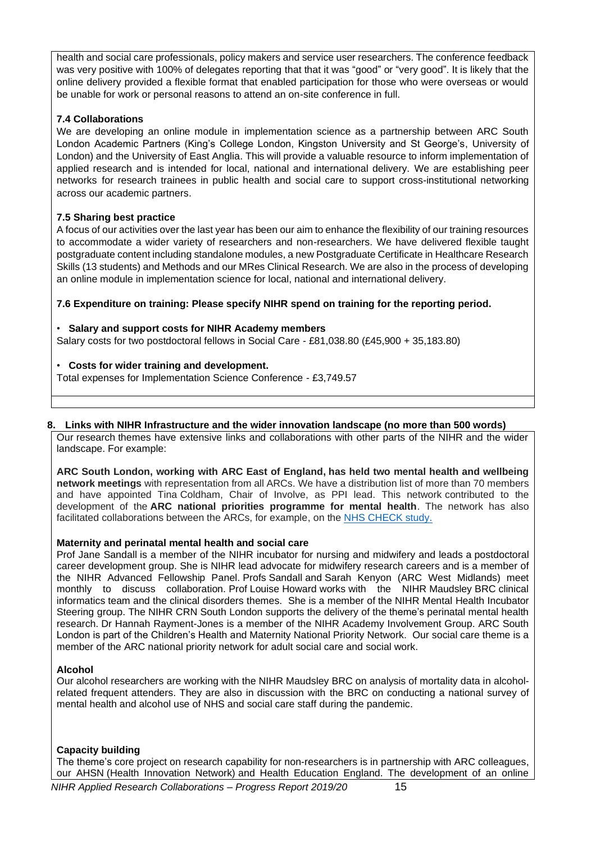health and social care professionals, policy makers and service user researchers. The conference feedback was very positive with 100% of delegates reporting that that it was "good" or "very good". It is likely that the online delivery provided a flexible format that enabled participation for those who were overseas or would be unable for work or personal reasons to attend an on-site conference in full.

# **7.4 Collaborations**

We are developing an online module in implementation science as a partnership between ARC South London Academic Partners (King's College London, Kingston University and St George's, University of London) and the University of East Anglia. This will provide a valuable resource to inform implementation of applied research and is intended for local, national and international delivery. We are establishing peer networks for research trainees in public health and social care to support cross-institutional networking across our academic partners.

# **7.5 Sharing best practice**

A focus of our activities over the last year has been our aim to enhance the flexibility of our training resources to accommodate a wider variety of researchers and non-researchers. We have delivered flexible taught postgraduate content including standalone modules, a new Postgraduate Certificate in Healthcare Research Skills (13 students) and Methods and our MRes Clinical Research. We are also in the process of developing an online module in implementation science for local, national and international delivery.

# **7.6 Expenditure on training: Please specify NIHR spend on training for the reporting period.**

# • **Salary and support costs for NIHR Academy members**

Salary costs for two postdoctoral fellows in Social Care - £81,038.80 (£45,900 + 35,183.80)

# • **Costs for wider training and development.**

Total expenses for Implementation Science Conference - £3,749.57

### **8. Links with NIHR Infrastructure and the wider innovation landscape (no more than 500 words)**

Our research themes have extensive links and collaborations with other parts of the NIHR and the wider landscape. For example:

**ARC South London, working with ARC East of England, has held two mental health and wellbeing network meetings** with representation from all ARCs. We have a distribution list of more than 70 members and have appointed Tina Coldham, Chair of Involve, as PPI lead. This network contributed to the development of the **ARC national priorities programme for mental health**. The network has also facilitated collaborations between the ARCs, for example, on the [NHS CHECK study.](https://www.kcl.ac.uk/news/nhs-check-study-to-explore-the-effect-of-the-covid-19-pandemic-on-nhs-staff)

# **Maternity and perinatal mental health and social care**

Prof Jane Sandall is a member of the NIHR incubator for nursing and midwifery and leads a postdoctoral career development group. She is NIHR lead advocate for midwifery research careers and is a member of the NIHR Advanced Fellowship Panel. Profs Sandall and Sarah Kenyon (ARC West Midlands) meet monthly to discuss collaboration. Prof Louise Howard works with the NIHR Maudsley BRC clinical informatics team and the clinical disorders themes. She is a member of the NIHR Mental Health Incubator Steering group. The NIHR CRN South London supports the delivery of the theme's perinatal mental health research. Dr Hannah Rayment-Jones is a member of the NIHR Academy Involvement Group. ARC South London is part of the Children's Health and Maternity National Priority Network. Our social care theme is a member of the ARC national priority network for adult social care and social work.

# **Alcohol**

Our alcohol researchers are working with the NIHR Maudsley BRC on analysis of mortality data in alcoholrelated frequent attenders. They are also in discussion with the BRC on conducting a national survey of mental health and alcohol use of NHS and social care staff during the pandemic.

# **Capacity building**

The theme's core project on research capability for non-researchers is in partnership with ARC colleagues, our AHSN (Health Innovation Network) and Health Education England. The development of an online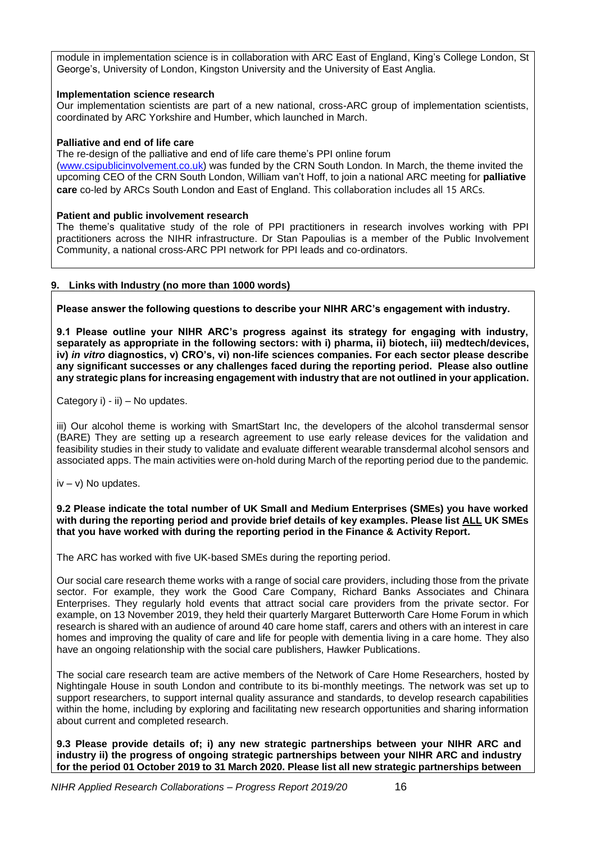module in implementation science is in collaboration with ARC East of England, King's College London, St George's, University of London, Kingston University and the University of East Anglia.

### **Implementation science research**

Our implementation scientists are part of a new national, cross-ARC group of implementation scientists, coordinated by ARC Yorkshire and Humber, which launched in March.

#### **Palliative and end of life care**

The re-design of the palliative and end of life care theme's PPI online forum [\(www.csipublicinvolvement.co.uk\)](http://www.csipublicinvolvement.co.uk/) was funded by the CRN South London. In March, the theme invited the upcoming CEO of the CRN South London, William van't Hoff, to join a national ARC meeting for **palliative care** co-led by ARCs South London and East of England. This collaboration includes all 15 ARCs.

#### **Patient and public involvement research**

The theme's qualitative study of the role of PPI practitioners in research involves working with PPI practitioners across the NIHR infrastructure. Dr Stan Papoulias is a member of the Public Involvement Community, a national cross-ARC PPI network for PPI leads and co-ordinators.

### **9. Links with Industry (no more than 1000 words)**

**Please answer the following questions to describe your NIHR ARC's engagement with industry.**

**9.1 Please outline your NIHR ARC's progress against its strategy for engaging with industry, separately as appropriate in the following sectors: with i) pharma, ii) biotech, iii) medtech/devices, iv)** *in vitro* **diagnostics, v) CRO's, vi) non-life sciences companies. For each sector please describe any significant successes or any challenges faced during the reporting period. Please also outline any strategic plans for increasing engagement with industry that are not outlined in your application.**

Category i) - ii) – No updates.

iii) Our alcohol theme is working with SmartStart Inc, the developers of the alcohol transdermal sensor (BARE) They are setting up a research agreement to use early release devices for the validation and feasibility studies in their study to validate and evaluate different wearable transdermal alcohol sensors and associated apps. The main activities were on-hold during March of the reporting period due to the pandemic.

 $iv - v$ ) No updates.

**9.2 Please indicate the total number of UK Small and Medium Enterprises (SMEs) you have worked with during the reporting period and provide brief details of key examples. Please list ALL UK SMEs that you have worked with during the reporting period in the Finance & Activity Report***.*

The ARC has worked with five UK-based SMEs during the reporting period.

Our social care research theme works with a range of social care providers, including those from the private sector. For example, they work the Good Care Company, Richard Banks Associates and Chinara Enterprises. They regularly hold events that attract social care providers from the private sector. For example, on 13 November 2019, they held their quarterly Margaret Butterworth Care Home Forum in which research is shared with an audience of around 40 care home staff, carers and others with an interest in care homes and improving the quality of care and life for people with dementia living in a care home. They also have an ongoing relationship with the social care publishers, Hawker Publications.

The social care research team are active members of the Network of Care Home Researchers, hosted by Nightingale House in south London and contribute to its bi-monthly meetings. The network was set up to support researchers, to support internal quality assurance and standards, to develop research capabilities within the home, including by exploring and facilitating new research opportunities and sharing information about current and completed research.

**9.3 Please provide details of; i) any new strategic partnerships between your NIHR ARC and industry ii) the progress of ongoing strategic partnerships between your NIHR ARC and industry for the period 01 October 2019 to 31 March 2020. Please list all new strategic partnerships between**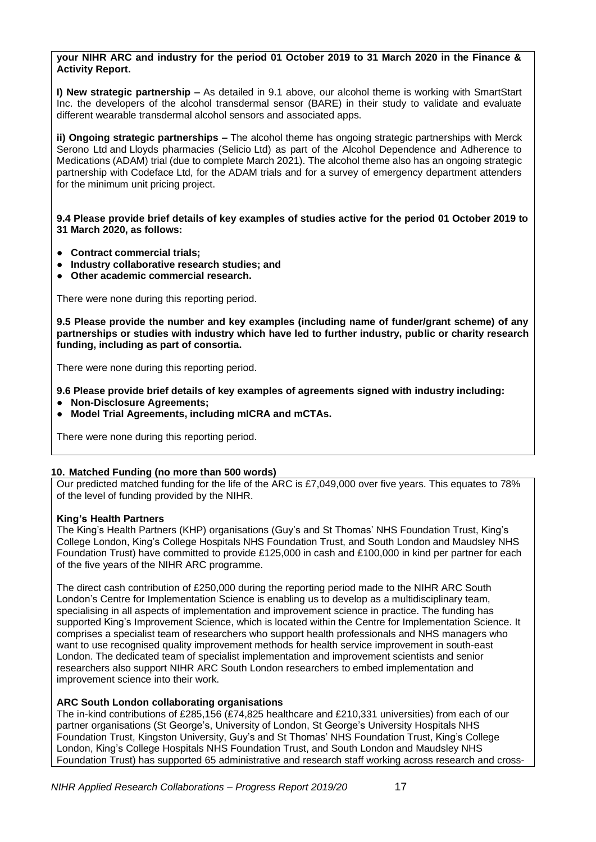### **your NIHR ARC and industry for the period 01 October 2019 to 31 March 2020 in the Finance & Activity Report.**

**I) New strategic partnership –** As detailed in 9.1 above, our alcohol theme is working with SmartStart Inc. the developers of the alcohol transdermal sensor (BARE) in their study to validate and evaluate different wearable transdermal alcohol sensors and associated apps.

**ii) Ongoing strategic partnerships –** The alcohol theme has ongoing strategic partnerships with Merck Serono Ltd and Lloyds pharmacies (Selicio Ltd) as part of the Alcohol Dependence and Adherence to Medications (ADAM) trial (due to complete March 2021). The alcohol theme also has an ongoing strategic partnership with Codeface Ltd, for the ADAM trials and for a survey of emergency department attenders for the minimum unit pricing project.

**9.4 Please provide brief details of key examples of studies active for the period 01 October 2019 to 31 March 2020, as follows:**

- **Contract commercial trials;**
- **Industry collaborative research studies; and**
- **Other academic commercial research.**

There were none during this reporting period.

**9.5 Please provide the number and key examples (including name of funder/grant scheme) of any partnerships or studies with industry which have led to further industry, public or charity research funding, including as part of consortia.**

There were none during this reporting period.

**9.6 Please provide brief details of key examples of agreements signed with industry including:**

- **Non-Disclosure Agreements;**
- **Model Trial Agreements, including mICRA and mCTAs.**

There were none during this reporting period.

### **10. Matched Funding (no more than 500 words)**

Our predicted matched funding for the life of the ARC is £7,049,000 over five years. This equates to 78% of the level of funding provided by the NIHR.

### **King's Health Partners**

The King's Health Partners (KHP) organisations (Guy's and St Thomas' NHS Foundation Trust, King's College London, King's College Hospitals NHS Foundation Trust, and South London and Maudsley NHS Foundation Trust) have committed to provide £125,000 in cash and £100,000 in kind per partner for each of the five years of the NIHR ARC programme.

The direct cash contribution of £250,000 during the reporting period made to the NIHR ARC South London's Centre for Implementation Science is enabling us to develop as a multidisciplinary team, specialising in all aspects of implementation and improvement science in practice. The funding has supported King's Improvement Science, which is located within the Centre for Implementation Science. It comprises a specialist team of researchers who support health professionals and NHS managers who want to use recognised quality improvement methods for health service improvement in south-east London. The dedicated team of specialist implementation and improvement scientists and senior researchers also support NIHR ARC South London researchers to embed implementation and improvement science into their work.

### **ARC South London collaborating organisations**

The in-kind contributions of £285,156 (£74,825 healthcare and £210,331 universities) from each of our partner organisations (St George's, University of London, St George's University Hospitals NHS Foundation Trust, Kingston University, Guy's and St Thomas' NHS Foundation Trust, King's College London, King's College Hospitals NHS Foundation Trust, and South London and Maudsley NHS Foundation Trust) has supported 65 administrative and research staff working across research and cross